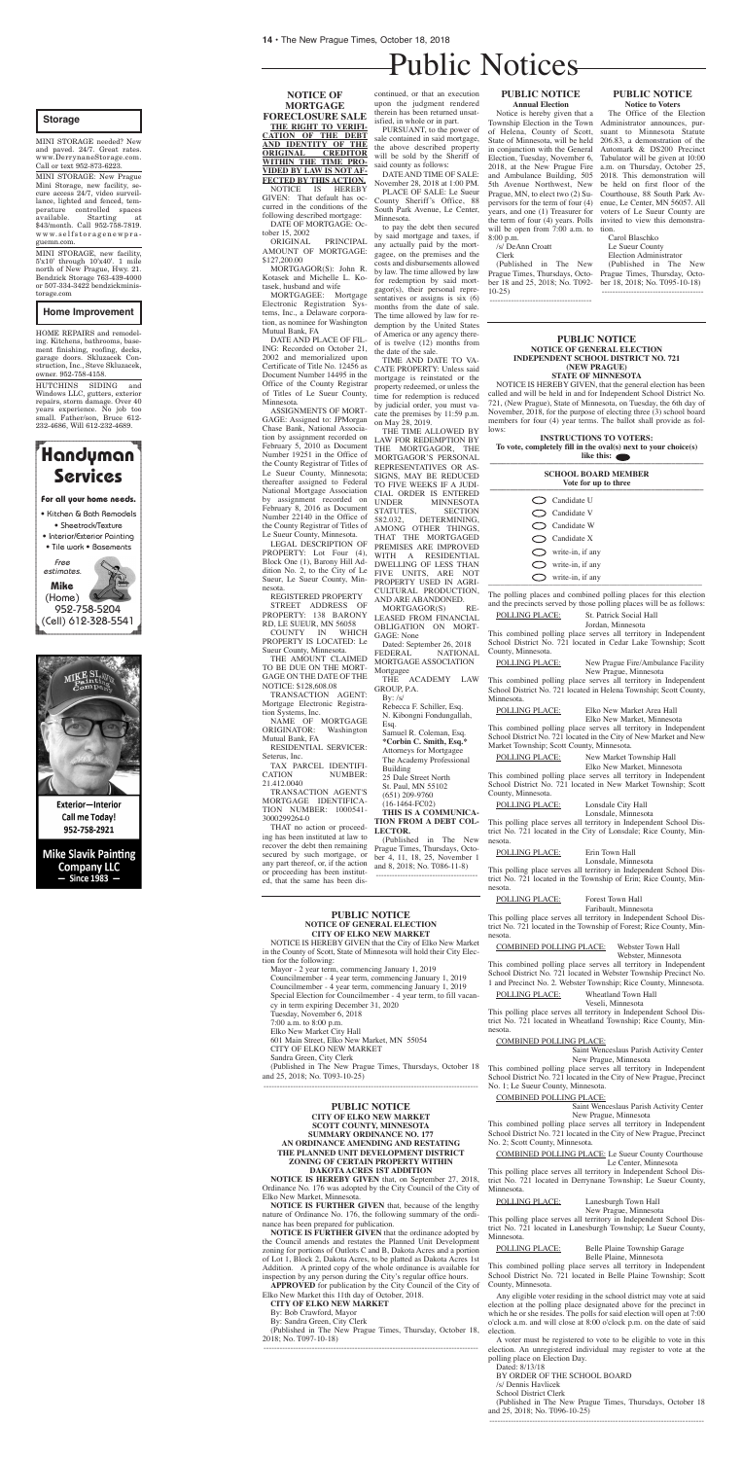**THE RIGHT TO VERIFI - CATION OF THE DEBT AND IDENTITY OF THE ORIGINAL CREDITOR WITHIN THE TIME PRO - VIDED BY LAW IS NOT AF - FECTED BY THIS ACTION.**<br>NOTICE IS HEREBY

# Public Notices

# **NOTICE OF MORTGAGE FORECLOSURE SALE**

NOTICE IS GIVEN: That default has occurred in the conditions of the following described mortgage:

MORTGAGOR(S): John R. Kotasek and Michelle L. Kotasek, husband and wife<br>MORTGAGEE: Mortgage

MORTGAGEE: Electronic Registration Systems, Inc., a Delaware corporation, as nominee for Washington Mutual Bank, FA

DATE OF MORTGAGE: October 15, 2002

ORIGINAL PRINCIPAL AMOUNT OF MORTGAGE: \$127,200.00

DATE AND PLACE OF FIL-ING: Recorded on October 21, 2002 and memorialized upon Certificate of Title No. 12456 as Document Number 14495 in the Office of the County Registrar of Titles of Le Sueur County, Minnesota.

**COUNTY** PROPERTY IS LOCATED: Le Sueur County, Minnesota.

NAME OF MORTGAGE<br>ORIGINATOR: Washington Washington Mutual Bank, FA

ASSIGNMENTS OF MORT-GAGE: Assigned to: JPMorgan Chase Bank, National Association by assignment recorded on February 5, 2010 as Document Number 19251 in the Office of the County Registrar of Titles of Le Sueur County, Minnesota; thereafter assigned to Federal National Mortgage Association by assignment recorded on February 8, 2016 as Document Number 22140 in the Office of the County Registrar of Titles of Le Sueur County, Minnesota.

LEGAL DESCRIPTION OF PROPERTY: Lot Four (4), Block One (1), Barony Hill Addition No. 2, to the City of Le Sueur, Le Sueur County, Minnesota.

REGISTERED PROPERTY

STREET ADDRESS OF PROPERTY: 138 BARONY RD, LE SUEUR, MN 56058

THE AMOUNT CLAIMED TO BE DUE ON THE MORT-GAGE ON THE DATE OF THE NOTICE: \$128,608.08

TRANSACTION AGENT: Mortgage Electronic Registration Systems, Inc.

RESIDENTIAL SERVICER: Seterus, Inc.

TAX PARCEL IDENTIFI-CATION NUMBER: AND ARE ABANDONED.<br>MORTGAGOR(S) RE-MORTGAGOR(S) LEASED FROM FINANCIAL OBLIGATION ON MORT-GAGE: None

21.412.0040

Dated: September 26, 2018<br>FEDERAL NATIONA **NATIONAL** MORTGAGE ASSOCIATION Mortgagee

TRANSACTION AGENT'S MORTGAGE IDENTIFICA-TION NUMBER: 1000541- 3000299264-0

THAT no action or proceeding has been instituted at law to recover the debt then remaining secured by such mortgage, or any part thereof, or, if the action or proceeding has been instituted, that the same has been discontinued, or that an execution upon the judgment rendered therein has been returned unsatisfied, in whole or in part.

#### **INSTRUCTIONS TO VOTERS: To vote, completely fill in the oval(s) next to your choice(s)**  like this:  $\bullet$

PURSUANT, to the power of sale contained in said mortgage, the above described property will be sold by the Sheriff of said county as follows:

DATE AND TIME OF SALE: November 28, 2018 at 1:00 PM.

PLACE OF SALE: Le Sueur County Sheriff's Office, 88 South Park Avenue, Le Center, Minnesota.

> POLLING PLACE: New Prague Fire/Ambulance Facility New Prague, Minnesota

to pay the debt then secured by said mortgage and taxes, if any actually paid by the mortgagee, on the premises and the costs and disbursements allowed by law. The time allowed by law for redemption by said mortgagor(s), their personal representatives or assigns is six (6) months from the date of sale. The time allowed by law for redemption by the United States of America or any agency thereof is twelve (12) months from the date of the sale.

> POLLING PLACE: Elko New Market Area Hall Elko New Market, Minnesota

TIME AND DATE TO VA-CATE PROPERTY: Unless said mortgage is reinstated or the property redeemed, or unless the time for redemption is reduced by judicial order, you must vacate the premises by 11:59 p.m. on May 28, 2019.

THE TIME ALLOWED BY LAW FOR REDEMPTION BY<br>THE MORTGAGOR. THE MORTGAGOR, THE MORTGAGOR'S PERSONAL REPRESENTATIVES OR AS-SIGNS, MAY BE REDUCED TO FIVE WEEKS IF A JUDI-CIAL ORDER IS ENTERED UNDER MINNESOTA<br>STATUTES. SECTION STATUTES,<br>582.032. DETERMINING, AMONG OTHER THINGS, THAT THE MORTGAGED PREMISES ARE IMPROVED WITH A RESIDENTIAL DWELLING OF LESS THAN FIVE UNITS, ARE NOT PROPERTY USED IN AGRI-CULTURAL PRODUCTION,

> POLLING PLACE: Wheatland Town Hall Veseli, Minnesota

THE ACADEMY LAW GROUP, P.A.

By:  $/s/$ 

Rebecca F. Schiller, Esq. N. Kibongni Fondungallah, Esq.

Samuel R. Coleman, Esq. **\*Corbin C. Smith, Esq.\***

Attorneys for Mortgagee The Academy Professional

Building

25 Dale Street North St. Paul, MN 55102

POLLING PLACE: Belle Plaine Township Garage Belle Plaine, Minnesota

(651) 209-9760

(16-1464-FC02)

**THIS IS A COMMUNICA-TION FROM A DEBT COL-LECTOR.**

(Published in The New Prague Times, Thursdays, October 4, 11, 18, 25, November 1 and 8, 2018; No. T086-11-8) --------------------------------------

#### **PUBLIC NOTICE NOTICE OF GENERAL ELECTION INDEPENDENT SCHOOL DISTRICT NO. 721 (NEW PRAGUE) STATE OF MINNESOTA**

NOTICE IS HEREBY GIVEN, that the general election has been called and will be held in and for Independent School District No. 721, (New Prague), State of Minnesota, on Tuesday, the 6th day of November, 2018, for the purpose of electing three (3) school board members for four (4) year terms. The ballot shall provide as follows:

| <b>SCHOOL BOARD MEMBER</b><br>Vote for up to three |
|----------------------------------------------------|
| $\bigcirc$ Candidate U                             |
| $\bigcirc$ Candidate V                             |
| $\bigcirc$ Candidate W                             |
| $\bigcirc$ Candidate X                             |
| $\sum$ write-in, if any                            |
| $\bigcirc$ write-in, if any                        |
| write-in, if any                                   |

The polling places and combined polling places for this election and the precincts served by those polling places will be as follows:

# POLLING PLACE: St. Patrick Social Hall

Jordan, Minnesota

This combined polling place serves all territory in Independent School District No. 721 located in Cedar Lake Township; Scott County, Minnesota.

This combined polling place serves all territory in Independent School District No. 721 located in Helena Township; Scott County, Minnesota.

This combined polling place serves all territory in Independent School District No. 721 located in the City of New Market and New Market Township; Scott County, Minnesota.

POLLING PLACE: New Market Township Hall

Elko New Market, Minnesota This combined polling place serves all territory in Independent School District No. 721 located in New Market Township; Scott County, Minnesota.

POLLING PLACE: Lonsdale City Hall

Lonsdale, Minnesota

This polling place serves all territory in Independent School District No. 721 located in the City of Lonsdale; Rice County, Minnesota.

Lonsdale, Minnesota

This polling place serves all territory in Independent School District No. 721 located in the Township of Erin; Rice County, Minnesota.

POLLING PLACE: Forest Town Hall

Faribault, Minnesota

This polling place serves all territory in Independent School District No. 721 located in the Township of Forest; Rice County, Minnesota.

COMBINED POLLING PLACE: Webster Town Hall

Webster, Minnesota

This combined polling place serves all territory in Independent School District No. 721 located in Webster Township Precinct No. 1 and Precinct No. 2. Webster Township; Rice County, Minnesota.

This polling place serves all territory in Independent School District No. 721 located in Wheatland Township; Rice County, Minnesota.

# COMBINED POLLING PLACE:

Saint Wenceslaus Parish Activity Center New Prague, Minnesota

This combined polling place serves all territory in Independent School District No. 721 located in the City of New Prague, Precinct No. 1; Le Sueur County, Minnesota.

#### COMBINED POLLING PLACE:

Saint Wenceslaus Parish Activity Center New Prague, Minnesota

This combined polling place serves all territory in Independent School District No. 721 located in the City of New Prague, Precinct No. 2; Scott County, Minnesota.

COMBINED POLLING PLACE: Le Sueur County Courthouse Le Center, Minnesota

This polling place serves all territory in Independent School District No. 721 located in Derrynane Township; Le Sueur County, Minnesota.

POLLING PLACE: Lanesburgh Town Hall

New Prague, Minnesota

This polling place serves all territory in Independent School District No. 721 located in Lanesburgh Township; Le Sueur County, Minnesota.

This combined polling place serves all territory in Independent School District No. 721 located in Belle Plaine Township; Scott County, Minnesota.

Any eligible voter residing in the school district may vote at said election at the polling place designated above for the precinct in which he or she resides. The polls for said election will open at 7:00 o'clock a.m. and will close at 8:00 o'clock p.m. on the date of said election.

A voter must be registered to vote to be eligible to vote in this election. An unregistered individual may register to vote at the polling place on Election Day.

Dated: 8/13/18

BY ORDER OF THE SCHOOL BOARD

/s/ Dennis Havlicek

School District Clerk

(Published in The New Prague Times, Thursdays, October 18 and 25, 2018; No. T096-10-25) --------------------------------------------------------------------------------

# **PUBLIC NOTICE Annual Election**

Notice is hereby given that a Township Election in the Town of Helena, County of Scott, State of Minnesota, will be held in conjunction with the General Election, Tuesday, November 6, 2018, at the New Prague Fire and Ambulance Building, 505 5th Avenue Northwest, New Prague, MN, to elect two (2) Supervisors for the term of four (4) years, and one (1) Treasurer for the term of four (4) years. Polls will be open from 7:00 a.m. to tion. 8:00 p.m.

/s/ DeAnn Croatt

Clerk

(Published in The New Prague Times, Thursdays, October 18 and 25, 2018; No. T092- 10-25)

--------------------------------------

## **PUBLIC NOTICE Notice to Voters**

The Office of the Election Administrator announces, pursuant to Minnesota Statute 206.83, a demonstration of the Automark & DS200 Precinct Tabulator will be given at 10:00 a.m. on Thursday, October 25, 2018. This demonstration will be held on first floor of the Courthouse, 88 South Park Avenue, Le Center, MN 56057. All voters of Le Sueur County are invited to view this demonstra-

Carol Blaschko Le Sueur County Election Administrator (Published in The New Prague Times, Thursday, October 18, 2018; No. T095-10-18) --------------------------------------

# **PUBLIC NOTICE NOTICE OF GENERAL ELECTION CITY OF ELKO NEW MARKET**

NOTICE IS HEREBY GIVEN that the City of Elko New Market in the County of Scott, State of Minnesota will hold their City Election for the following:

Mayor - 2 year term, commencing January 1, 2019 Councilmember - 4 year term, commencing January 1, 2019 Councilmember - 4 year term, commencing January 1, 2019 Special Election for Councilmember - 4 year term, to fill vacancy in term expiring December 31, 2020 Tuesday, November 6, 2018 7:00 a.m. to 8:00 p.m. Elko New Market City Hall 601 Main Street, Elko New Market, MN 55054 CITY OF ELKO NEW MARKET Sandra Green, City Clerk (Published in The New Prague Times, Thursdays, October 18

and 25, 2018; No. T093-10-25) --------------------------------------------------------------------------------

#### **PUBLIC NOTICE CITY OF ELKO NEW MARKET SCOTT COUNTY, MINNESOTA SUMMARY ORDINANCE NO. 177 AN ORDINANCE AMENDING AND RESTATING THE PLANNED UNIT DEVELOPMENT DISTRICT ZONING OF CERTAIN PROPERTY WITHIN DAKOTA ACRES 1ST ADDITION**

**NOTICE IS HEREBY GIVEN** that, on September 27, 2018, Ordinance No. 176 was adopted by the City Council of the City of Elko New Market, Minnesota.

**NOTICE IS FURTHER GIVEN** that, because of the lengthy nature of Ordinance No. 176, the following summary of the ordinance has been prepared for publication.

**NOTICE IS FURTHER GIVEN** that the ordinance adopted by the Council amends and restates the Planned Unit Development zoning for portions of Outlots C and B, Dakota Acres and a portion of Lot 1, Block 2, Dakota Acres, to be platted as Dakota Acres 1st Addition. A printed copy of the whole ordinance is available for inspection by any person during the City's regular office hours.

**APPROVED** for publication by the City Council of the City of Elko New Market this 11th day of October, 2018.

## **CITY OF ELKO NEW MARKET**

By: Bob Crawford, Mayor

By: Sandra Green, City Clerk

(Published in The New Prague Times, Thursday, October 18, 2018; No. T097-10-18) --------------------------------------------------------------------------------

## POLLING PLACE: Erin Town Hall